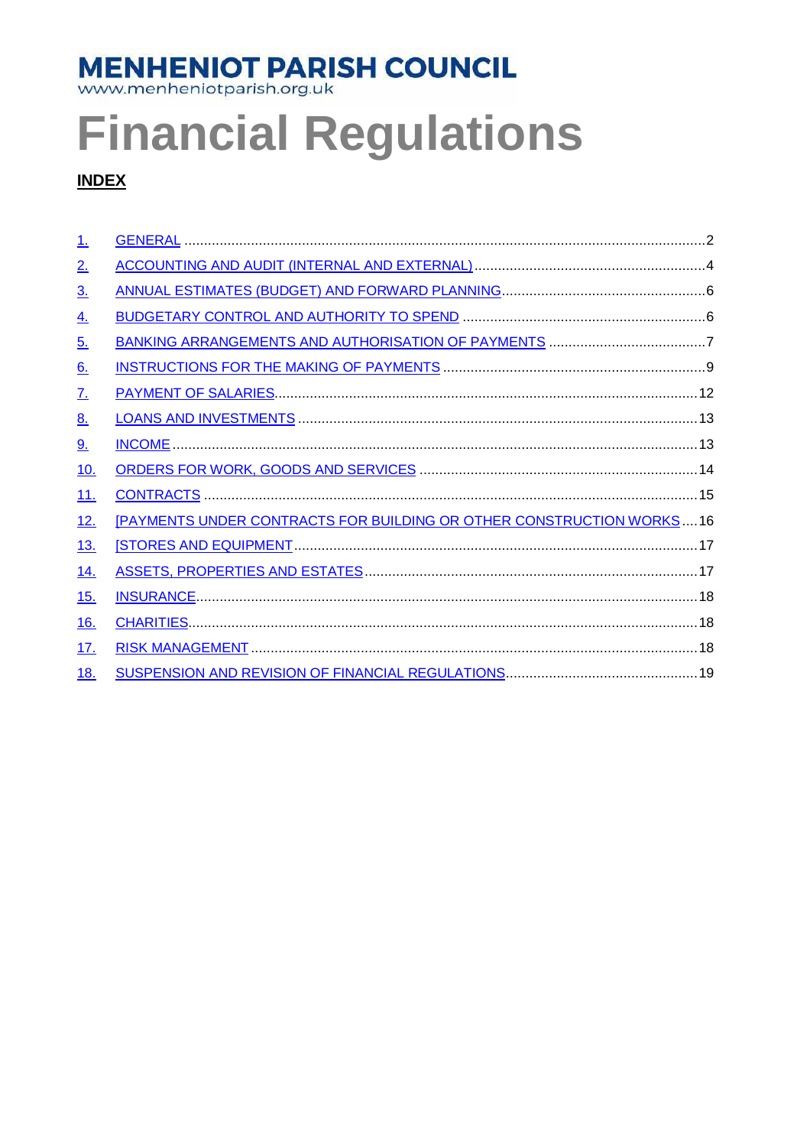## **MENHENIOT PARISH COUNCIL**<br>www.menheniotparish.org.uk

# **Financial Regulations**

## **INDEX**

| $\perp$     |                                                                      |
|-------------|----------------------------------------------------------------------|
| <u>2.</u>   |                                                                      |
| <u>3.</u>   |                                                                      |
| <u>4.</u>   |                                                                      |
| <u>5.</u>   |                                                                      |
| <u>6.</u>   |                                                                      |
| <u>Z.</u>   |                                                                      |
| <u>8.</u>   |                                                                      |
| <u>9.</u>   |                                                                      |
| <u>10</u> . |                                                                      |
| <u> 11.</u> |                                                                      |
| <u>12.</u>  | [PAYMENTS UNDER CONTRACTS FOR BUILDING OR OTHER CONSTRUCTION WORKS16 |
| <u>13.</u>  |                                                                      |
| 14.         |                                                                      |
| 15.         |                                                                      |
| 16.         |                                                                      |
| 17.         |                                                                      |
| 18.         |                                                                      |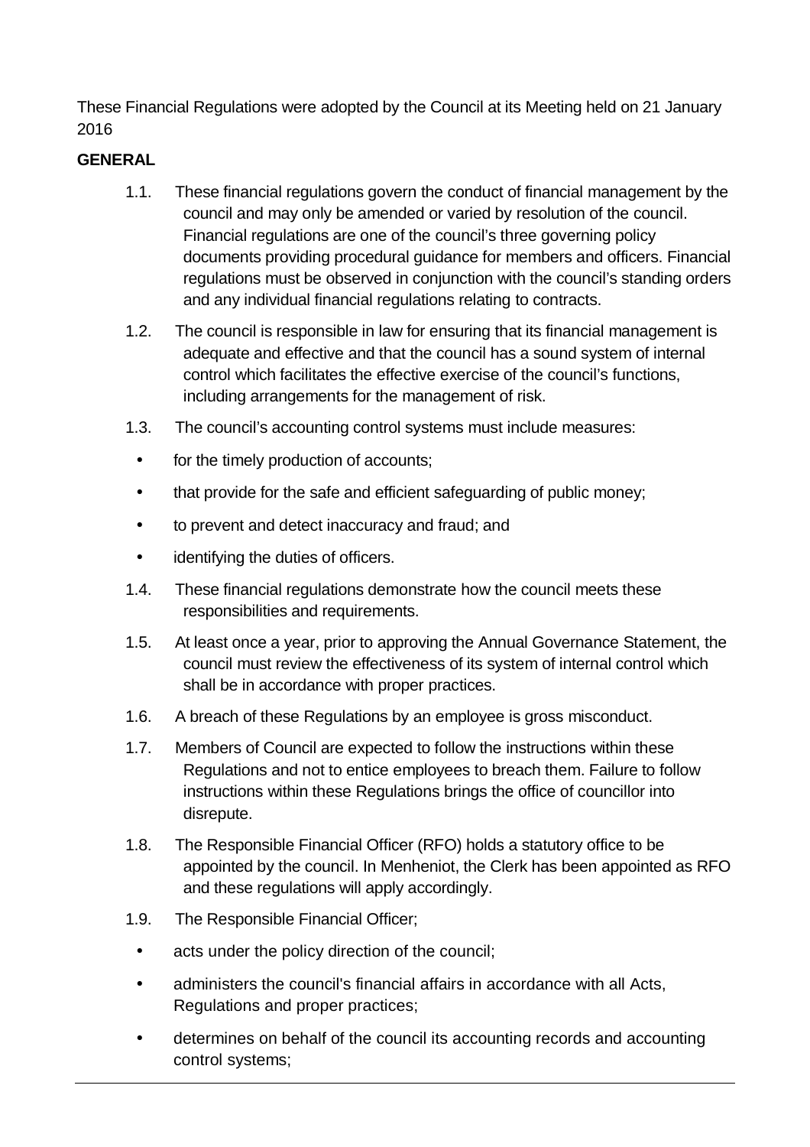These Financial Regulations were adopted by the Council at its Meeting held on 21 January 2016

## **GENERAL**

- 1.1. These financial regulations govern the conduct of financial management by the council and may only be amended or varied by resolution of the council. Financial regulations are one of the council's three governing policy documents providing procedural guidance for members and officers. Financial regulations must be observed in conjunction with the council's standing orders and any individual financial regulations relating to contracts.
- 1.2. The council is responsible in law for ensuring that its financial management is adequate and effective and that the council has a sound system of internal control which facilitates the effective exercise of the council's functions, including arrangements for the management of risk.
- 1.3. The council's accounting control systems must include measures:
- for the timely production of accounts;
- that provide for the safe and efficient safeguarding of public money;
- to prevent and detect inaccuracy and fraud; and
- identifying the duties of officers.
- 1.4. These financial regulations demonstrate how the council meets these responsibilities and requirements.
- 1.5. At least once a year, prior to approving the Annual Governance Statement, the council must review the effectiveness of its system of internal control which shall be in accordance with proper practices.
- 1.6. A breach of these Regulations by an employee is gross misconduct.
- 1.7. Members of Council are expected to follow the instructions within these Regulations and not to entice employees to breach them. Failure to follow instructions within these Regulations brings the office of councillor into disrepute.
- 1.8. The Responsible Financial Officer (RFO) holds a statutory office to be appointed by the council. In Menheniot, the Clerk has been appointed as RFO and these regulations will apply accordingly.
- 1.9. The Responsible Financial Officer;
- acts under the policy direction of the council;
- administers the council's financial affairs in accordance with all Acts, Regulations and proper practices;
- determines on behalf of the council its accounting records and accounting control systems;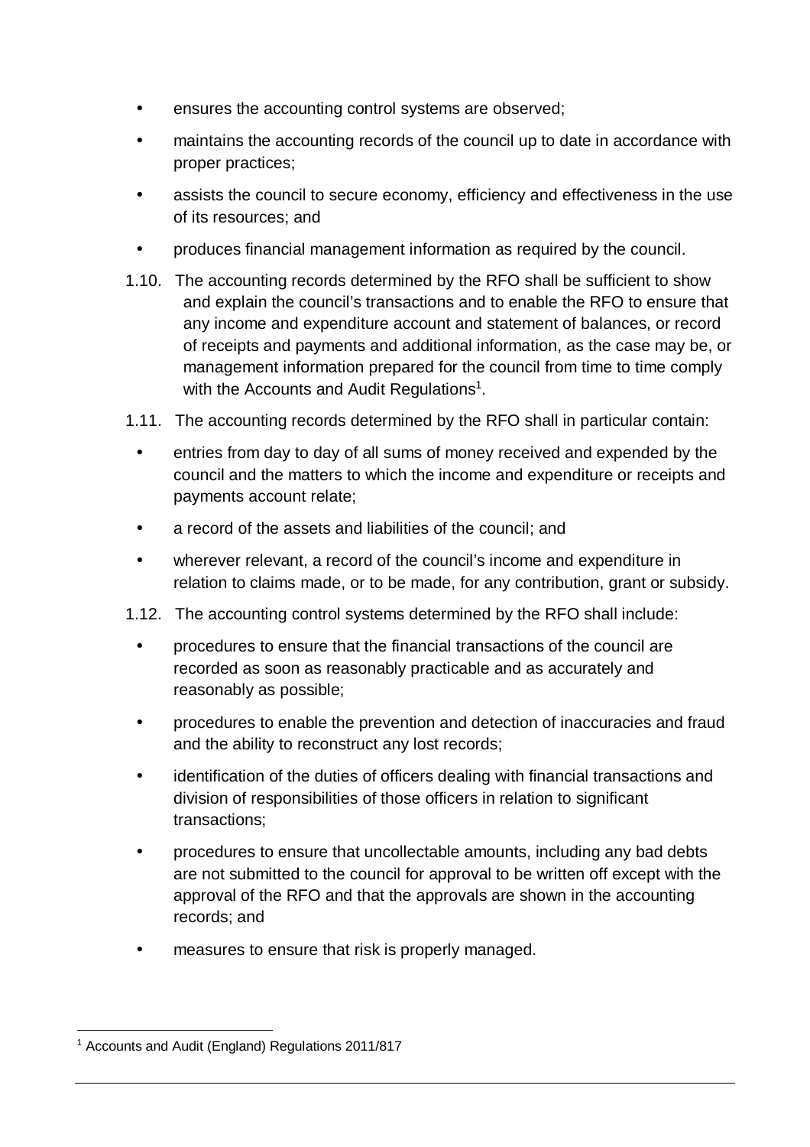- ensures the accounting control systems are observed;
- maintains the accounting records of the council up to date in accordance with proper practices;
- assists the council to secure economy, efficiency and effectiveness in the use of its resources; and
- produces financial management information as required by the council.
- 1.10. The accounting records determined by the RFO shall be sufficient to show and explain the council's transactions and to enable the RFO to ensure that any income and expenditure account and statement of balances, or record of receipts and payments and additional information, as the case may be, or management information prepared for the council from time to time comply with the Accounts and Audit Regulations<sup>1</sup>.
- 1.11. The accounting records determined by the RFO shall in particular contain:
- entries from day to day of all sums of money received and expended by the council and the matters to which the income and expenditure or receipts and payments account relate;
- a record of the assets and liabilities of the council; and
- wherever relevant, a record of the council's income and expenditure in relation to claims made, or to be made, for any contribution, grant or subsidy.
- 1.12. The accounting control systems determined by the RFO shall include:
- procedures to ensure that the financial transactions of the council are recorded as soon as reasonably practicable and as accurately and reasonably as possible;
- procedures to enable the prevention and detection of inaccuracies and fraud and the ability to reconstruct any lost records;
- identification of the duties of officers dealing with financial transactions and division of responsibilities of those officers in relation to significant transactions;
- procedures to ensure that uncollectable amounts, including any bad debts are not submitted to the council for approval to be written off except with the approval of the RFO and that the approvals are shown in the accounting records; and
- measures to ensure that risk is properly managed.

 $\overline{a}$ <sup>1</sup> Accounts and Audit (England) Regulations 2011/817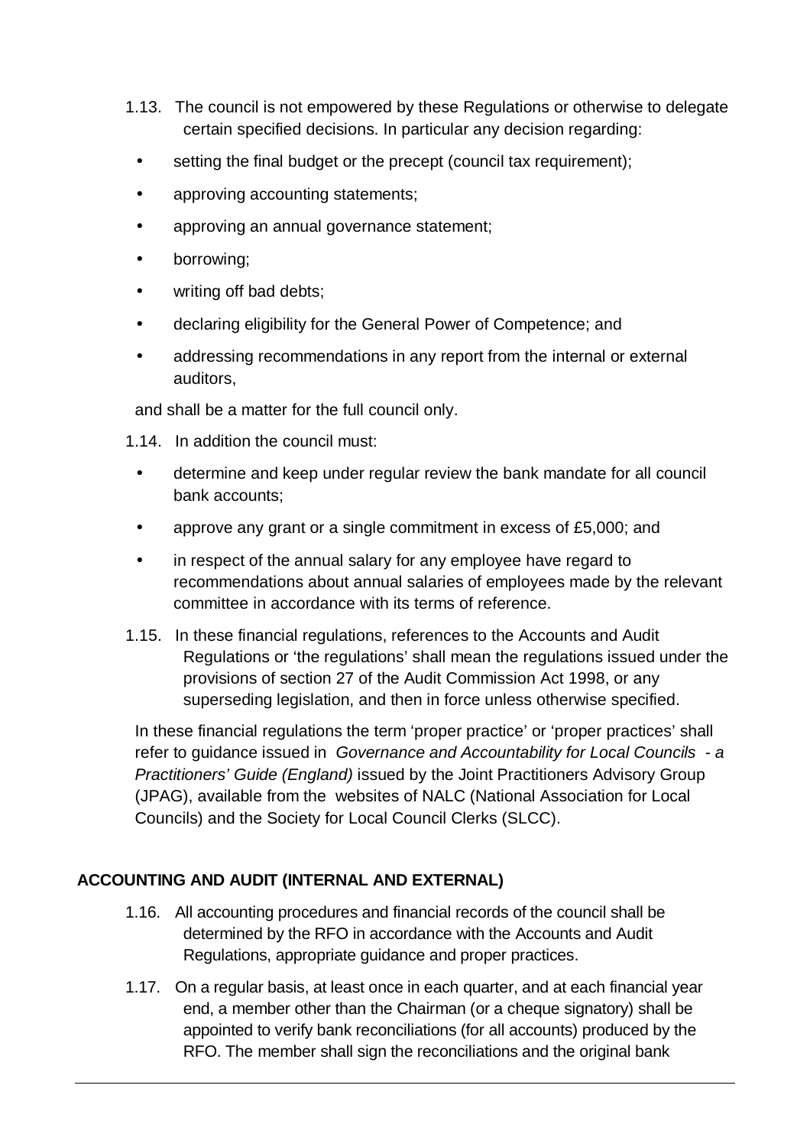- 1.13. The council is not empowered by these Regulations or otherwise to delegate certain specified decisions. In particular any decision regarding:
- setting the final budget or the precept (council tax requirement);
- approving accounting statements;
- approving an annual governance statement;
- borrowing;
- writing off bad debts;
- declaring eligibility for the General Power of Competence; and
- addressing recommendations in any report from the internal or external auditors,

and shall be a matter for the full council only.

- 1.14. In addition the council must:
- determine and keep under regular review the bank mandate for all council bank accounts;
- approve any grant or a single commitment in excess of £5,000; and
- in respect of the annual salary for any employee have regard to recommendations about annual salaries of employees made by the relevant committee in accordance with its terms of reference.
- 1.15. In these financial regulations, references to the Accounts and Audit Regulations or 'the regulations' shall mean the regulations issued under the provisions of section 27 of the Audit Commission Act 1998, or any superseding legislation, and then in force unless otherwise specified.

In these financial regulations the term 'proper practice' or 'proper practices' shall refer to guidance issued in Governance and Accountability for Local Councils - a Practitioners' Guide (England) issued by the Joint Practitioners Advisory Group (JPAG), available from the websites of NALC (National Association for Local Councils) and the Society for Local Council Clerks (SLCC).

## **ACCOUNTING AND AUDIT (INTERNAL AND EXTERNAL)**

- 1.16. All accounting procedures and financial records of the council shall be determined by the RFO in accordance with the Accounts and Audit Regulations, appropriate guidance and proper practices.
- 1.17. On a regular basis, at least once in each quarter, and at each financial year end, a member other than the Chairman (or a cheque signatory) shall be appointed to verify bank reconciliations (for all accounts) produced by the RFO. The member shall sign the reconciliations and the original bank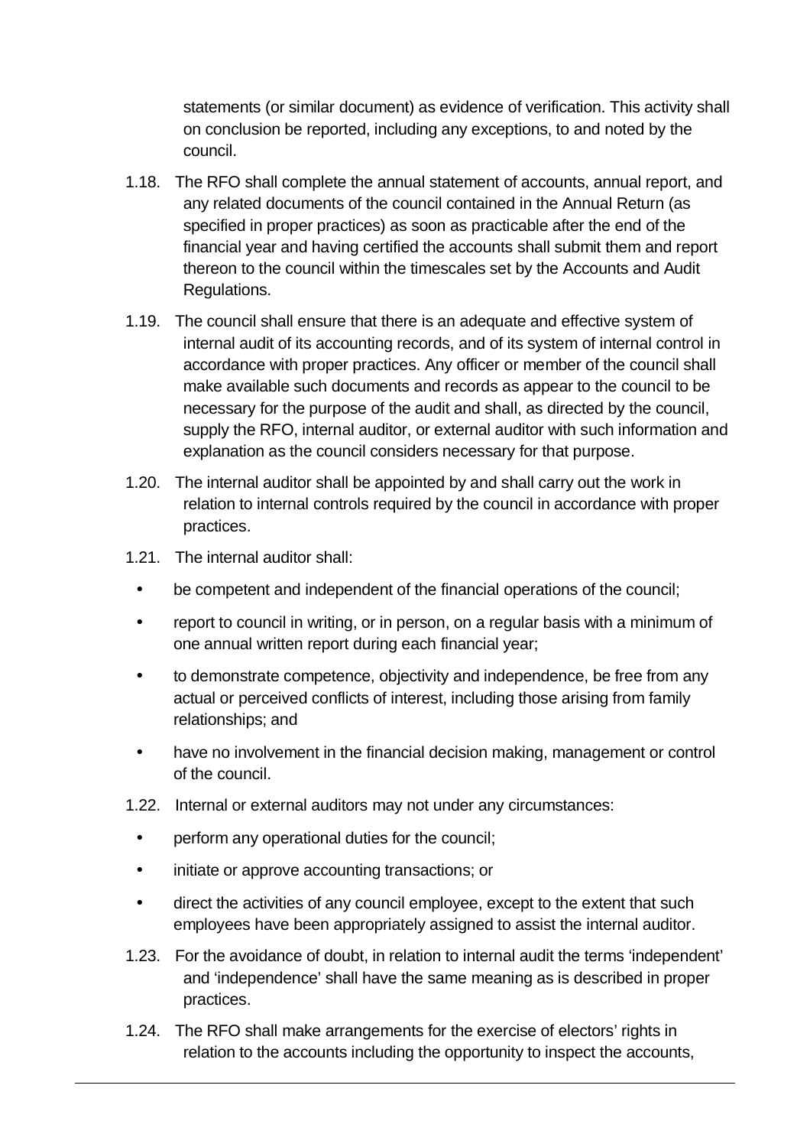statements (or similar document) as evidence of verification. This activity shall on conclusion be reported, including any exceptions, to and noted by the council.

- 1.18. The RFO shall complete the annual statement of accounts, annual report, and any related documents of the council contained in the Annual Return (as specified in proper practices) as soon as practicable after the end of the financial year and having certified the accounts shall submit them and report thereon to the council within the timescales set by the Accounts and Audit Regulations.
- 1.19. The council shall ensure that there is an adequate and effective system of internal audit of its accounting records, and of its system of internal control in accordance with proper practices. Any officer or member of the council shall make available such documents and records as appear to the council to be necessary for the purpose of the audit and shall, as directed by the council, supply the RFO, internal auditor, or external auditor with such information and explanation as the council considers necessary for that purpose.
- 1.20. The internal auditor shall be appointed by and shall carry out the work in relation to internal controls required by the council in accordance with proper practices.
- 1.21. The internal auditor shall:
- be competent and independent of the financial operations of the council;
- report to council in writing, or in person, on a regular basis with a minimum of one annual written report during each financial year;
- to demonstrate competence, objectivity and independence, be free from any actual or perceived conflicts of interest, including those arising from family relationships; and
- have no involvement in the financial decision making, management or control of the council.
- 1.22. Internal or external auditors may not under any circumstances:
- perform any operational duties for the council;
- initiate or approve accounting transactions; or
- direct the activities of any council employee, except to the extent that such employees have been appropriately assigned to assist the internal auditor.
- 1.23. For the avoidance of doubt, in relation to internal audit the terms 'independent' and 'independence' shall have the same meaning as is described in proper practices.
- 1.24. The RFO shall make arrangements for the exercise of electors' rights in relation to the accounts including the opportunity to inspect the accounts,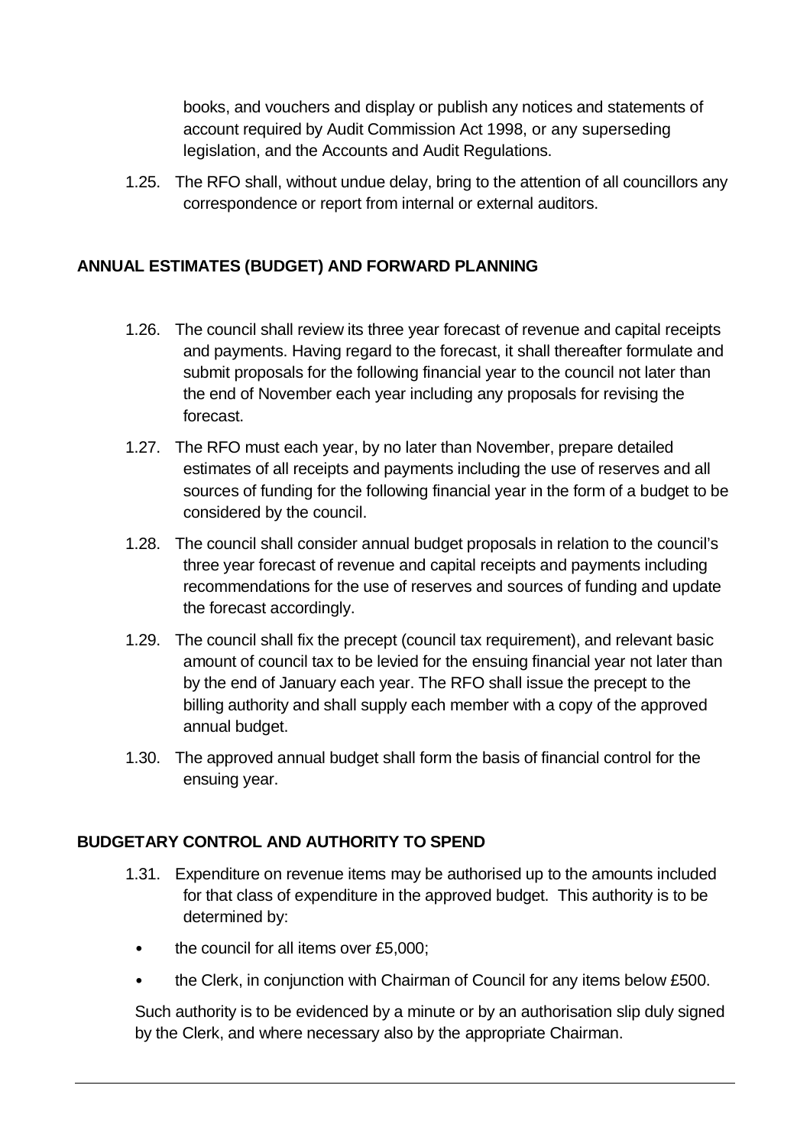books, and vouchers and display or publish any notices and statements of account required by Audit Commission Act 1998, or any superseding legislation, and the Accounts and Audit Regulations.

1.25. The RFO shall, without undue delay, bring to the attention of all councillors any correspondence or report from internal or external auditors.

## **ANNUAL ESTIMATES (BUDGET) AND FORWARD PLANNING**

- 1.26. The council shall review its three year forecast of revenue and capital receipts and payments. Having regard to the forecast, it shall thereafter formulate and submit proposals for the following financial year to the council not later than the end of November each year including any proposals for revising the forecast.
- 1.27. The RFO must each year, by no later than November, prepare detailed estimates of all receipts and payments including the use of reserves and all sources of funding for the following financial year in the form of a budget to be considered by the council.
- 1.28. The council shall consider annual budget proposals in relation to the council's three year forecast of revenue and capital receipts and payments including recommendations for the use of reserves and sources of funding and update the forecast accordingly.
- 1.29. The council shall fix the precept (council tax requirement), and relevant basic amount of council tax to be levied for the ensuing financial year not later than by the end of January each year. The RFO shall issue the precept to the billing authority and shall supply each member with a copy of the approved annual budget.
- 1.30. The approved annual budget shall form the basis of financial control for the ensuing year.

### **BUDGETARY CONTROL AND AUTHORITY TO SPEND**

- 1.31. Expenditure on revenue items may be authorised up to the amounts included for that class of expenditure in the approved budget. This authority is to be determined by:
- the council for all items over £5.000:
- the Clerk, in conjunction with Chairman of Council for any items below £500.

Such authority is to be evidenced by a minute or by an authorisation slip duly signed by the Clerk, and where necessary also by the appropriate Chairman.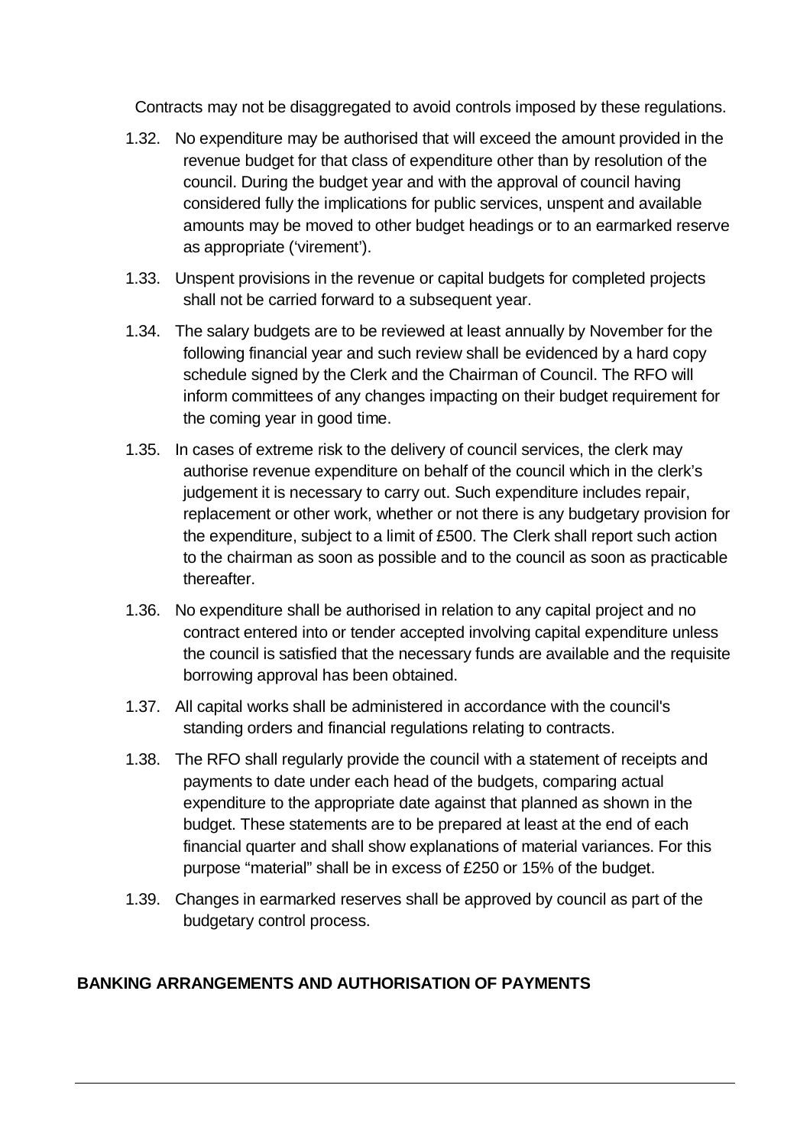Contracts may not be disaggregated to avoid controls imposed by these regulations.

- 1.32. No expenditure may be authorised that will exceed the amount provided in the revenue budget for that class of expenditure other than by resolution of the council. During the budget year and with the approval of council having considered fully the implications for public services, unspent and available amounts may be moved to other budget headings or to an earmarked reserve as appropriate ('virement').
- 1.33. Unspent provisions in the revenue or capital budgets for completed projects shall not be carried forward to a subsequent year.
- 1.34. The salary budgets are to be reviewed at least annually by November for the following financial year and such review shall be evidenced by a hard copy schedule signed by the Clerk and the Chairman of Council. The RFO will inform committees of any changes impacting on their budget requirement for the coming year in good time.
- 1.35. In cases of extreme risk to the delivery of council services, the clerk may authorise revenue expenditure on behalf of the council which in the clerk's judgement it is necessary to carry out. Such expenditure includes repair, replacement or other work, whether or not there is any budgetary provision for the expenditure, subject to a limit of £500. The Clerk shall report such action to the chairman as soon as possible and to the council as soon as practicable thereafter.
- 1.36. No expenditure shall be authorised in relation to any capital project and no contract entered into or tender accepted involving capital expenditure unless the council is satisfied that the necessary funds are available and the requisite borrowing approval has been obtained.
- 1.37. All capital works shall be administered in accordance with the council's standing orders and financial regulations relating to contracts.
- 1.38. The RFO shall regularly provide the council with a statement of receipts and payments to date under each head of the budgets, comparing actual expenditure to the appropriate date against that planned as shown in the budget. These statements are to be prepared at least at the end of each financial quarter and shall show explanations of material variances. For this purpose "material" shall be in excess of £250 or 15% of the budget.
- 1.39. Changes in earmarked reserves shall be approved by council as part of the budgetary control process.

## **BANKING ARRANGEMENTS AND AUTHORISATION OF PAYMENTS**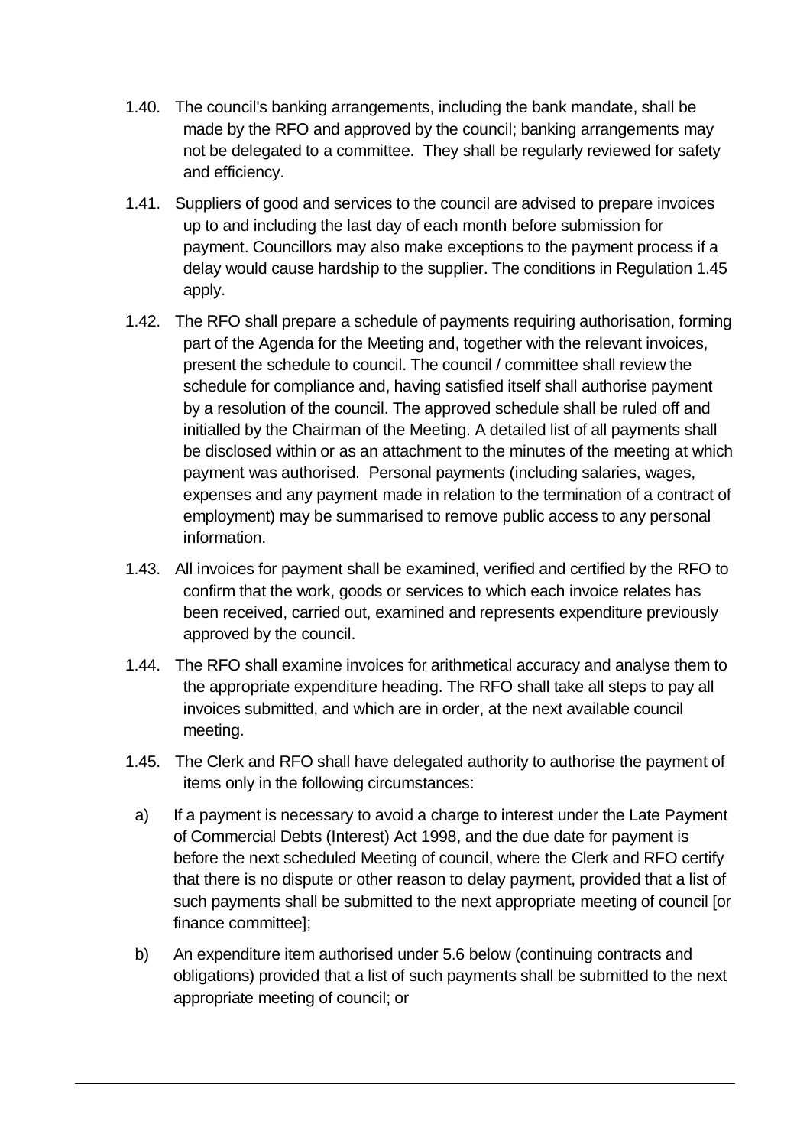- 1.40. The council's banking arrangements, including the bank mandate, shall be made by the RFO and approved by the council; banking arrangements may not be delegated to a committee. They shall be regularly reviewed for safety and efficiency.
- 1.41. Suppliers of good and services to the council are advised to prepare invoices up to and including the last day of each month before submission for payment. Councillors may also make exceptions to the payment process if a delay would cause hardship to the supplier. The conditions in Regulation 1.45 apply.
- 1.42. The RFO shall prepare a schedule of payments requiring authorisation, forming part of the Agenda for the Meeting and, together with the relevant invoices, present the schedule to council. The council / committee shall review the schedule for compliance and, having satisfied itself shall authorise payment by a resolution of the council. The approved schedule shall be ruled off and initialled by the Chairman of the Meeting. A detailed list of all payments shall be disclosed within or as an attachment to the minutes of the meeting at which payment was authorised. Personal payments (including salaries, wages, expenses and any payment made in relation to the termination of a contract of employment) may be summarised to remove public access to any personal information.
- 1.43. All invoices for payment shall be examined, verified and certified by the RFO to confirm that the work, goods or services to which each invoice relates has been received, carried out, examined and represents expenditure previously approved by the council.
- 1.44. The RFO shall examine invoices for arithmetical accuracy and analyse them to the appropriate expenditure heading. The RFO shall take all steps to pay all invoices submitted, and which are in order, at the next available council meeting.
- 1.45. The Clerk and RFO shall have delegated authority to authorise the payment of items only in the following circumstances:
- a) If a payment is necessary to avoid a charge to interest under the Late Payment of Commercial Debts (Interest) Act 1998, and the due date for payment is before the next scheduled Meeting of council, where the Clerk and RFO certify that there is no dispute or other reason to delay payment, provided that a list of such payments shall be submitted to the next appropriate meeting of council [or finance committee];
- b) An expenditure item authorised under 5.6 below (continuing contracts and obligations) provided that a list of such payments shall be submitted to the next appropriate meeting of council; or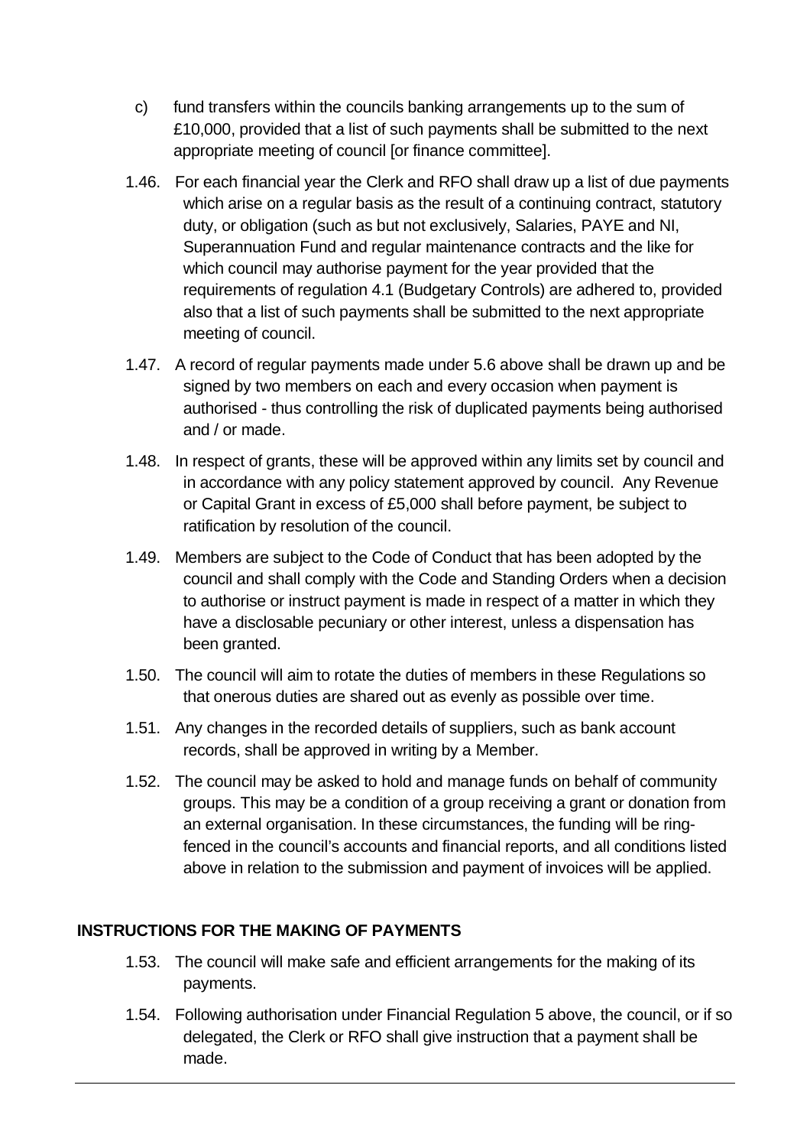- c) fund transfers within the councils banking arrangements up to the sum of £10,000, provided that a list of such payments shall be submitted to the next appropriate meeting of council [or finance committee].
- 1.46. For each financial year the Clerk and RFO shall draw up a list of due payments which arise on a regular basis as the result of a continuing contract, statutory duty, or obligation (such as but not exclusively, Salaries, PAYE and NI, Superannuation Fund and regular maintenance contracts and the like for which council may authorise payment for the year provided that the requirements of regulation 4.1 (Budgetary Controls) are adhered to, provided also that a list of such payments shall be submitted to the next appropriate meeting of council.
- 1.47. A record of regular payments made under 5.6 above shall be drawn up and be signed by two members on each and every occasion when payment is authorised - thus controlling the risk of duplicated payments being authorised and / or made.
- 1.48. In respect of grants, these will be approved within any limits set by council and in accordance with any policy statement approved by council. Any Revenue or Capital Grant in excess of £5,000 shall before payment, be subject to ratification by resolution of the council.
- 1.49. Members are subject to the Code of Conduct that has been adopted by the council and shall comply with the Code and Standing Orders when a decision to authorise or instruct payment is made in respect of a matter in which they have a disclosable pecuniary or other interest, unless a dispensation has been granted.
- 1.50. The council will aim to rotate the duties of members in these Regulations so that onerous duties are shared out as evenly as possible over time.
- 1.51. Any changes in the recorded details of suppliers, such as bank account records, shall be approved in writing by a Member.
- 1.52. The council may be asked to hold and manage funds on behalf of community groups. This may be a condition of a group receiving a grant or donation from an external organisation. In these circumstances, the funding will be ringfenced in the council's accounts and financial reports, and all conditions listed above in relation to the submission and payment of invoices will be applied.

## **INSTRUCTIONS FOR THE MAKING OF PAYMENTS**

- 1.53. The council will make safe and efficient arrangements for the making of its payments.
- 1.54. Following authorisation under Financial Regulation 5 above, the council, or if so delegated, the Clerk or RFO shall give instruction that a payment shall be made.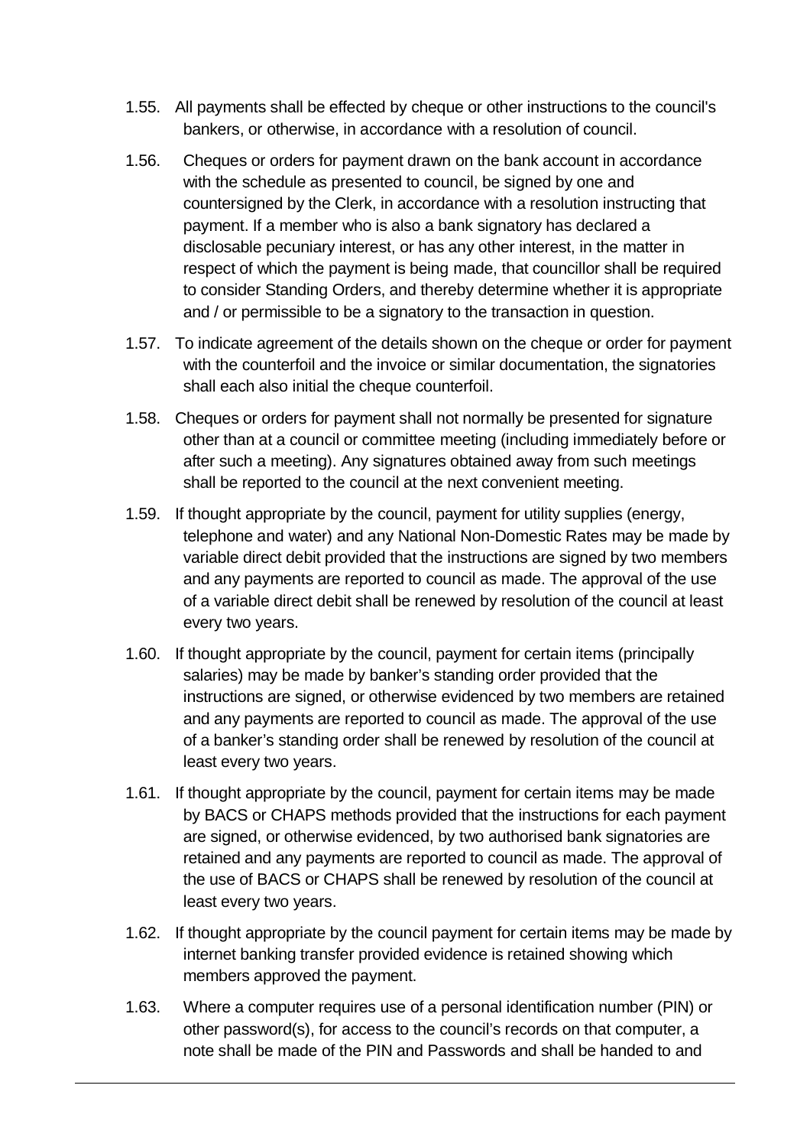- 1.55. All payments shall be effected by cheque or other instructions to the council's bankers, or otherwise, in accordance with a resolution of council.
- 1.56. Cheques or orders for payment drawn on the bank account in accordance with the schedule as presented to council, be signed by one and countersigned by the Clerk, in accordance with a resolution instructing that payment. If a member who is also a bank signatory has declared a disclosable pecuniary interest, or has any other interest, in the matter in respect of which the payment is being made, that councillor shall be required to consider Standing Orders, and thereby determine whether it is appropriate and / or permissible to be a signatory to the transaction in question.
- 1.57. To indicate agreement of the details shown on the cheque or order for payment with the counterfoil and the invoice or similar documentation, the signatories shall each also initial the cheque counterfoil.
- 1.58. Cheques or orders for payment shall not normally be presented for signature other than at a council or committee meeting (including immediately before or after such a meeting). Any signatures obtained away from such meetings shall be reported to the council at the next convenient meeting.
- 1.59. If thought appropriate by the council, payment for utility supplies (energy, telephone and water) and any National Non-Domestic Rates may be made by variable direct debit provided that the instructions are signed by two members and any payments are reported to council as made. The approval of the use of a variable direct debit shall be renewed by resolution of the council at least every two years.
- 1.60. If thought appropriate by the council, payment for certain items (principally salaries) may be made by banker's standing order provided that the instructions are signed, or otherwise evidenced by two members are retained and any payments are reported to council as made. The approval of the use of a banker's standing order shall be renewed by resolution of the council at least every two years.
- 1.61. If thought appropriate by the council, payment for certain items may be made by BACS or CHAPS methods provided that the instructions for each payment are signed, or otherwise evidenced, by two authorised bank signatories are retained and any payments are reported to council as made. The approval of the use of BACS or CHAPS shall be renewed by resolution of the council at least every two years.
- 1.62. If thought appropriate by the council payment for certain items may be made by internet banking transfer provided evidence is retained showing which members approved the payment.
- 1.63. Where a computer requires use of a personal identification number (PIN) or other password(s), for access to the council's records on that computer, a note shall be made of the PIN and Passwords and shall be handed to and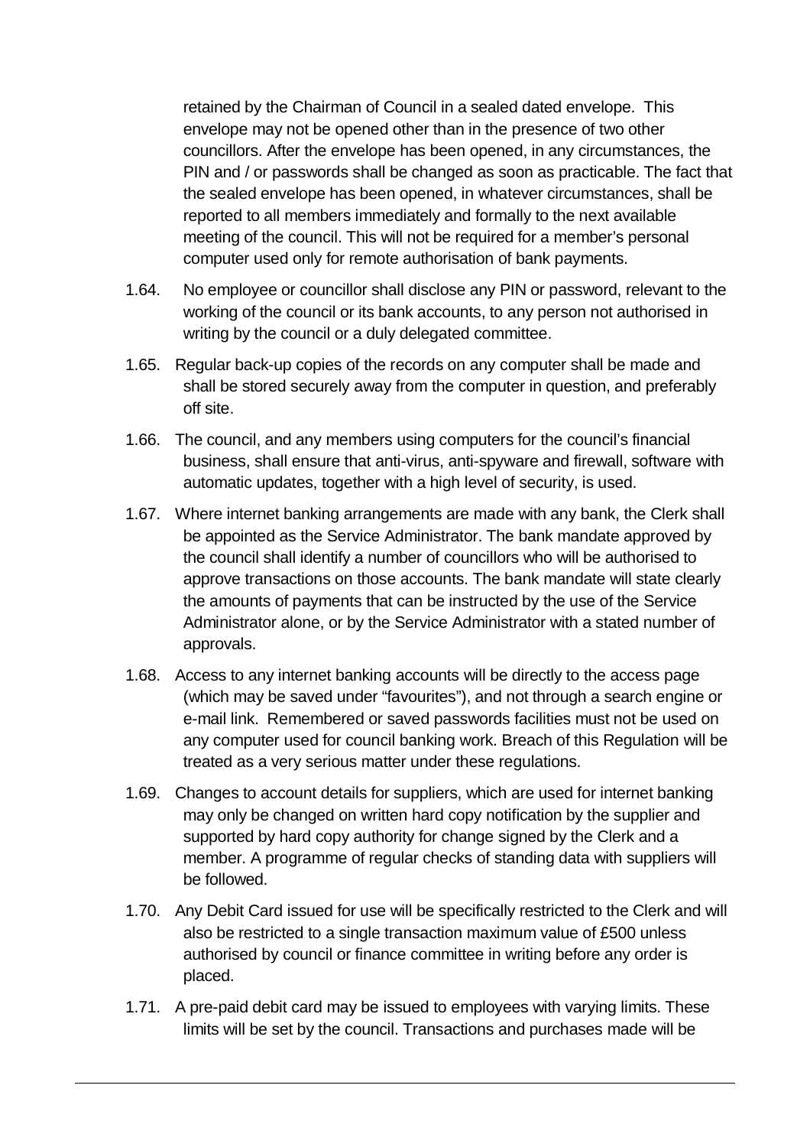retained by the Chairman of Council in a sealed dated envelope. This envelope may not be opened other than in the presence of two other councillors. After the envelope has been opened, in any circumstances, the PIN and / or passwords shall be changed as soon as practicable. The fact that the sealed envelope has been opened, in whatever circumstances, shall be reported to all members immediately and formally to the next available meeting of the council. This will not be required for a member's personal computer used only for remote authorisation of bank payments.

- 1.64. No employee or councillor shall disclose any PIN or password, relevant to the working of the council or its bank accounts, to any person not authorised in writing by the council or a duly delegated committee.
- 1.65. Regular back-up copies of the records on any computer shall be made and shall be stored securely away from the computer in question, and preferably off site.
- 1.66. The council, and any members using computers for the council's financial business, shall ensure that anti-virus, anti-spyware and firewall, software with automatic updates, together with a high level of security, is used.
- 1.67. Where internet banking arrangements are made with any bank, the Clerk shall be appointed as the Service Administrator. The bank mandate approved by the council shall identify a number of councillors who will be authorised to approve transactions on those accounts. The bank mandate will state clearly the amounts of payments that can be instructed by the use of the Service Administrator alone, or by the Service Administrator with a stated number of approvals.
- 1.68. Access to any internet banking accounts will be directly to the access page (which may be saved under "favourites"), and not through a search engine or e-mail link. Remembered or saved passwords facilities must not be used on any computer used for council banking work. Breach of this Regulation will be treated as a very serious matter under these regulations.
- 1.69. Changes to account details for suppliers, which are used for internet banking may only be changed on written hard copy notification by the supplier and supported by hard copy authority for change signed by the Clerk and a member. A programme of regular checks of standing data with suppliers will be followed.
- 1.70. Any Debit Card issued for use will be specifically restricted to the Clerk and will also be restricted to a single transaction maximum value of £500 unless authorised by council or finance committee in writing before any order is placed.
- 1.71. A pre-paid debit card may be issued to employees with varying limits. These limits will be set by the council. Transactions and purchases made will be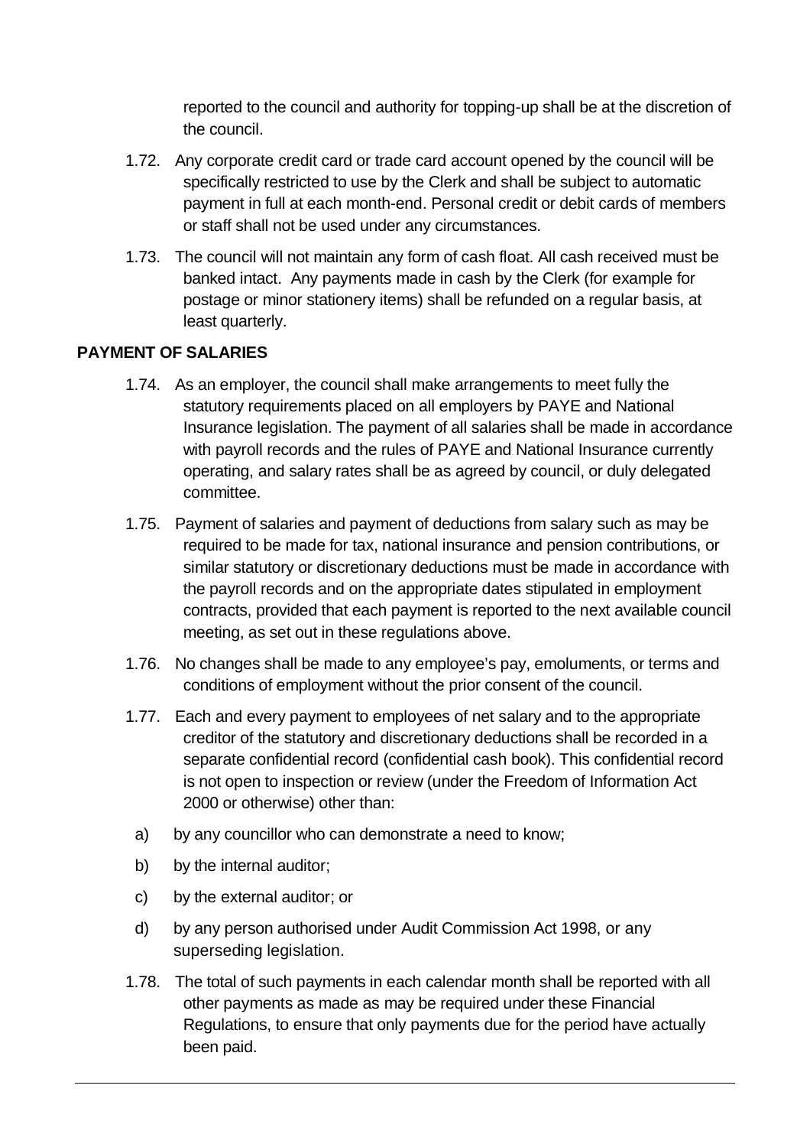reported to the council and authority for topping-up shall be at the discretion of the council.

- 1.72. Any corporate credit card or trade card account opened by the council will be specifically restricted to use by the Clerk and shall be subject to automatic payment in full at each month-end. Personal credit or debit cards of members or staff shall not be used under any circumstances.
- 1.73. The council will not maintain any form of cash float. All cash received must be banked intact. Any payments made in cash by the Clerk (for example for postage or minor stationery items) shall be refunded on a regular basis, at least quarterly.

### **PAYMENT OF SALARIES**

- 1.74. As an employer, the council shall make arrangements to meet fully the statutory requirements placed on all employers by PAYE and National Insurance legislation. The payment of all salaries shall be made in accordance with payroll records and the rules of PAYE and National Insurance currently operating, and salary rates shall be as agreed by council, or duly delegated committee.
- 1.75. Payment of salaries and payment of deductions from salary such as may be required to be made for tax, national insurance and pension contributions, or similar statutory or discretionary deductions must be made in accordance with the payroll records and on the appropriate dates stipulated in employment contracts, provided that each payment is reported to the next available council meeting, as set out in these regulations above.
- 1.76. No changes shall be made to any employee's pay, emoluments, or terms and conditions of employment without the prior consent of the council.
- 1.77. Each and every payment to employees of net salary and to the appropriate creditor of the statutory and discretionary deductions shall be recorded in a separate confidential record (confidential cash book). This confidential record is not open to inspection or review (under the Freedom of Information Act 2000 or otherwise) other than:
	- a) by any councillor who can demonstrate a need to know;
	- b) by the internal auditor;
	- c) by the external auditor; or
- d) by any person authorised under Audit Commission Act 1998, or any superseding legislation.
- 1.78. The total of such payments in each calendar month shall be reported with all other payments as made as may be required under these Financial Regulations, to ensure that only payments due for the period have actually been paid.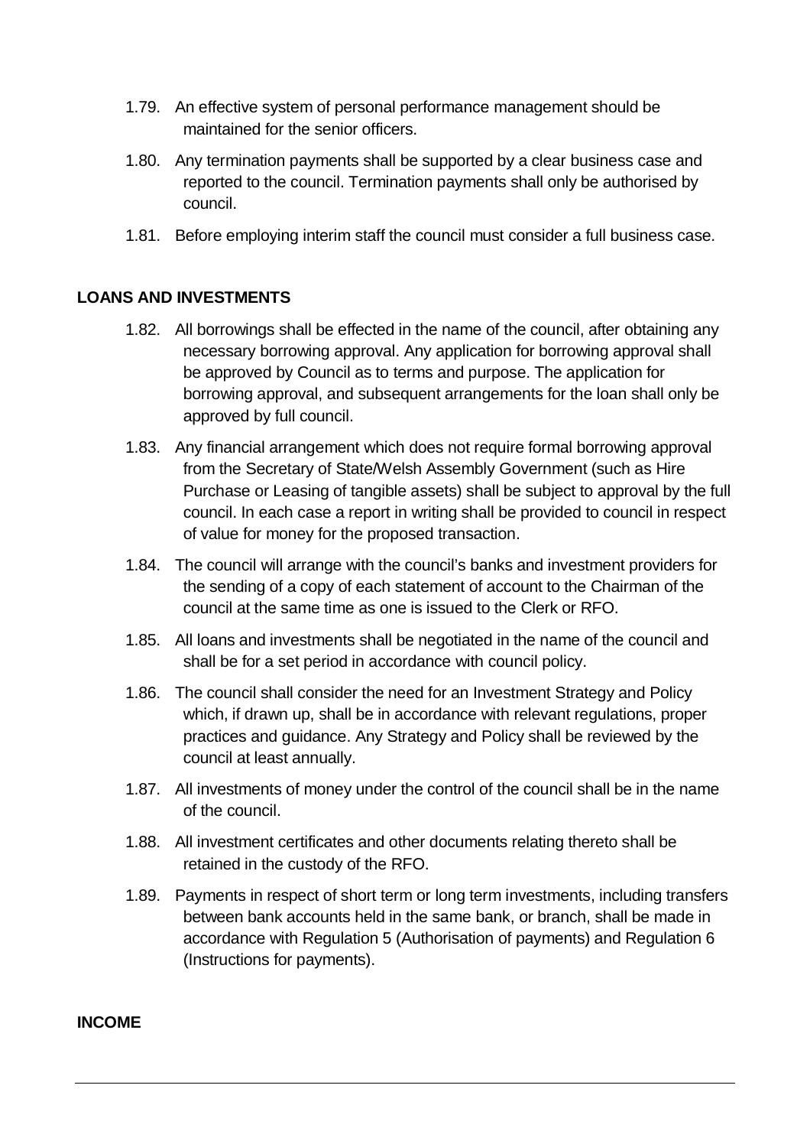- 1.79. An effective system of personal performance management should be maintained for the senior officers.
- 1.80. Any termination payments shall be supported by a clear business case and reported to the council. Termination payments shall only be authorised by council.
- 1.81. Before employing interim staff the council must consider a full business case.

#### **LOANS AND INVESTMENTS**

- 1.82. All borrowings shall be effected in the name of the council, after obtaining any necessary borrowing approval. Any application for borrowing approval shall be approved by Council as to terms and purpose. The application for borrowing approval, and subsequent arrangements for the loan shall only be approved by full council.
- 1.83. Any financial arrangement which does not require formal borrowing approval from the Secretary of State/Welsh Assembly Government (such as Hire Purchase or Leasing of tangible assets) shall be subject to approval by the full council. In each case a report in writing shall be provided to council in respect of value for money for the proposed transaction.
- 1.84. The council will arrange with the council's banks and investment providers for the sending of a copy of each statement of account to the Chairman of the council at the same time as one is issued to the Clerk or RFO.
- 1.85. All loans and investments shall be negotiated in the name of the council and shall be for a set period in accordance with council policy.
- 1.86. The council shall consider the need for an Investment Strategy and Policy which, if drawn up, shall be in accordance with relevant regulations, proper practices and guidance. Any Strategy and Policy shall be reviewed by the council at least annually.
- 1.87. All investments of money under the control of the council shall be in the name of the council.
- 1.88. All investment certificates and other documents relating thereto shall be retained in the custody of the RFO.
- 1.89. Payments in respect of short term or long term investments, including transfers between bank accounts held in the same bank, or branch, shall be made in accordance with Regulation 5 (Authorisation of payments) and Regulation 6 (Instructions for payments).

#### **INCOME**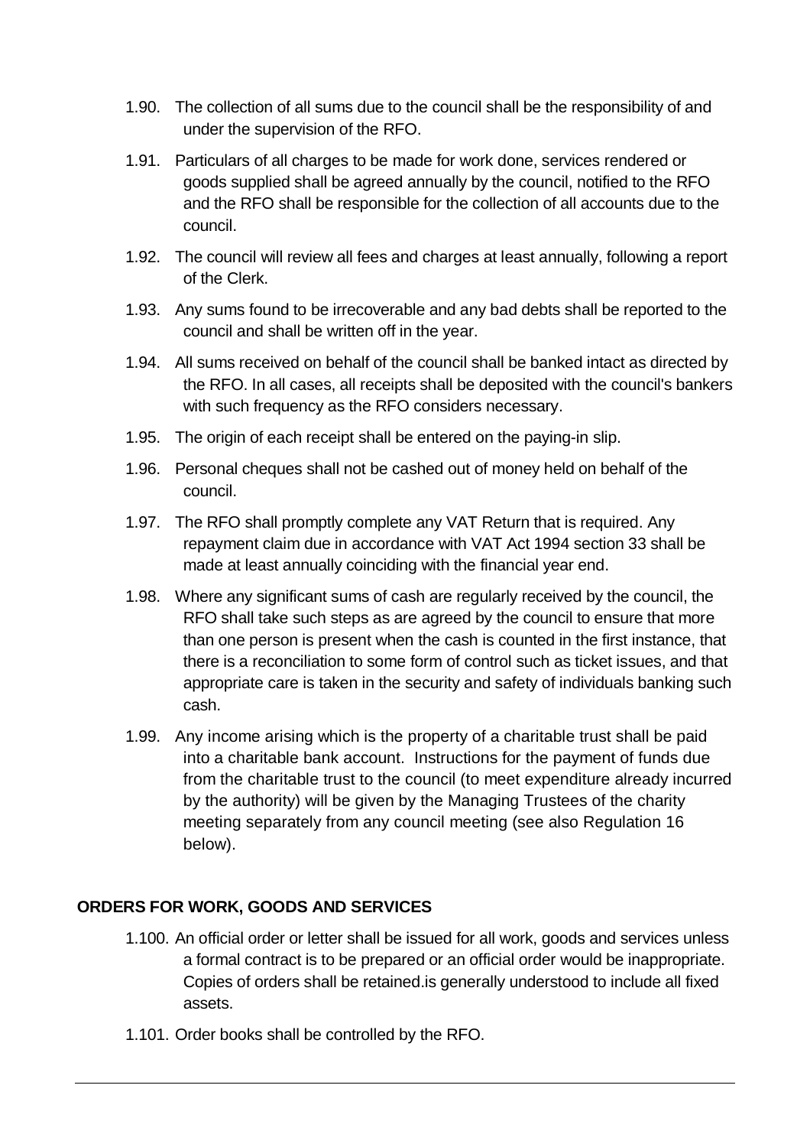- 1.90. The collection of all sums due to the council shall be the responsibility of and under the supervision of the RFO.
- 1.91. Particulars of all charges to be made for work done, services rendered or goods supplied shall be agreed annually by the council, notified to the RFO and the RFO shall be responsible for the collection of all accounts due to the council.
- 1.92. The council will review all fees and charges at least annually, following a report of the Clerk.
- 1.93. Any sums found to be irrecoverable and any bad debts shall be reported to the council and shall be written off in the year.
- 1.94. All sums received on behalf of the council shall be banked intact as directed by the RFO. In all cases, all receipts shall be deposited with the council's bankers with such frequency as the RFO considers necessary.
- 1.95. The origin of each receipt shall be entered on the paying-in slip.
- 1.96. Personal cheques shall not be cashed out of money held on behalf of the council.
- 1.97. The RFO shall promptly complete any VAT Return that is required. Any repayment claim due in accordance with VAT Act 1994 section 33 shall be made at least annually coinciding with the financial year end.
- 1.98. Where any significant sums of cash are regularly received by the council, the RFO shall take such steps as are agreed by the council to ensure that more than one person is present when the cash is counted in the first instance, that there is a reconciliation to some form of control such as ticket issues, and that appropriate care is taken in the security and safety of individuals banking such cash.
- 1.99. Any income arising which is the property of a charitable trust shall be paid into a charitable bank account. Instructions for the payment of funds due from the charitable trust to the council (to meet expenditure already incurred by the authority) will be given by the Managing Trustees of the charity meeting separately from any council meeting (see also Regulation 16 below).

## **ORDERS FOR WORK, GOODS AND SERVICES**

- 1.100. An official order or letter shall be issued for all work, goods and services unless a formal contract is to be prepared or an official order would be inappropriate. Copies of orders shall be retained.is generally understood to include all fixed assets.
- 1.101. Order books shall be controlled by the RFO.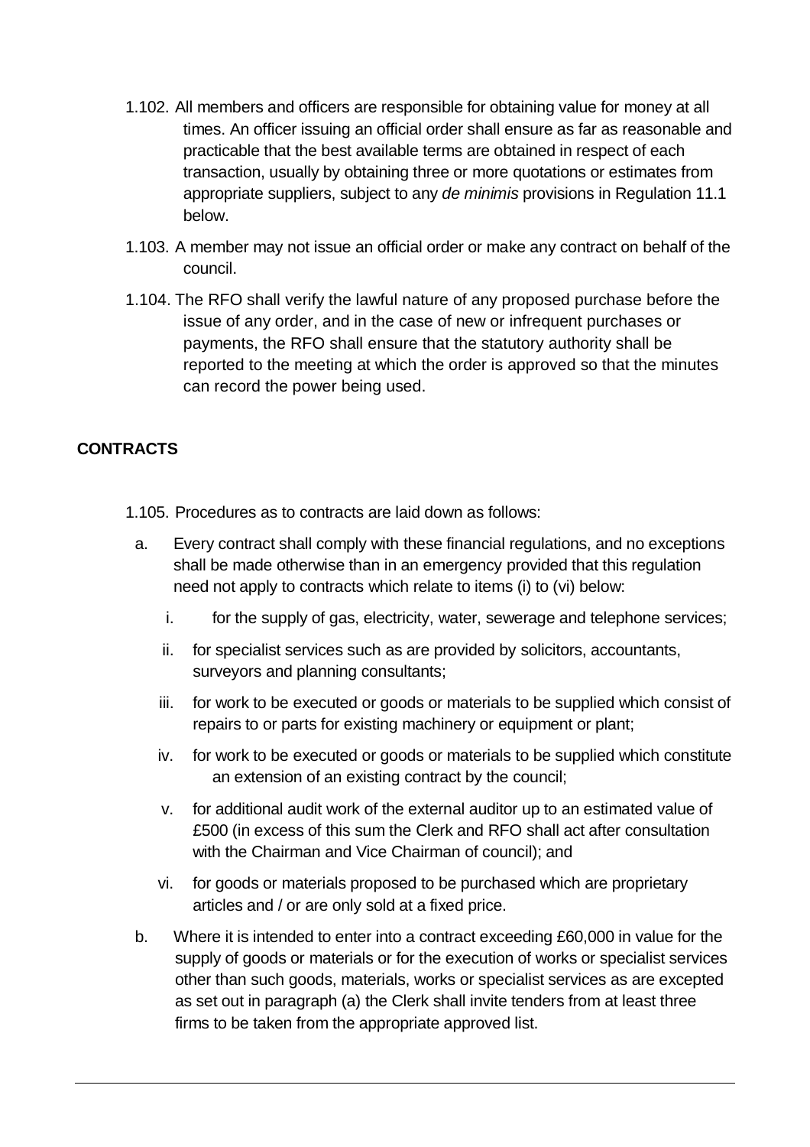- 1.102. All members and officers are responsible for obtaining value for money at all times. An officer issuing an official order shall ensure as far as reasonable and practicable that the best available terms are obtained in respect of each transaction, usually by obtaining three or more quotations or estimates from appropriate suppliers, subject to any de minimis provisions in Regulation 11.1 below.
- 1.103. A member may not issue an official order or make any contract on behalf of the council.
- 1.104. The RFO shall verify the lawful nature of any proposed purchase before the issue of any order, and in the case of new or infrequent purchases or payments, the RFO shall ensure that the statutory authority shall be reported to the meeting at which the order is approved so that the minutes can record the power being used.

## **CONTRACTS**

- 1.105. Procedures as to contracts are laid down as follows:
	- a. Every contract shall comply with these financial regulations, and no exceptions shall be made otherwise than in an emergency provided that this regulation need not apply to contracts which relate to items (i) to (vi) below:
		- i. for the supply of gas, electricity, water, sewerage and telephone services;
		- ii. for specialist services such as are provided by solicitors, accountants, surveyors and planning consultants;
		- iii. for work to be executed or goods or materials to be supplied which consist of repairs to or parts for existing machinery or equipment or plant;
		- iv. for work to be executed or goods or materials to be supplied which constitute an extension of an existing contract by the council;
		- v. for additional audit work of the external auditor up to an estimated value of £500 (in excess of this sum the Clerk and RFO shall act after consultation with the Chairman and Vice Chairman of council); and
		- vi. for goods or materials proposed to be purchased which are proprietary articles and / or are only sold at a fixed price.
	- b. Where it is intended to enter into a contract exceeding £60,000 in value for the supply of goods or materials or for the execution of works or specialist services other than such goods, materials, works or specialist services as are excepted as set out in paragraph (a) the Clerk shall invite tenders from at least three firms to be taken from the appropriate approved list.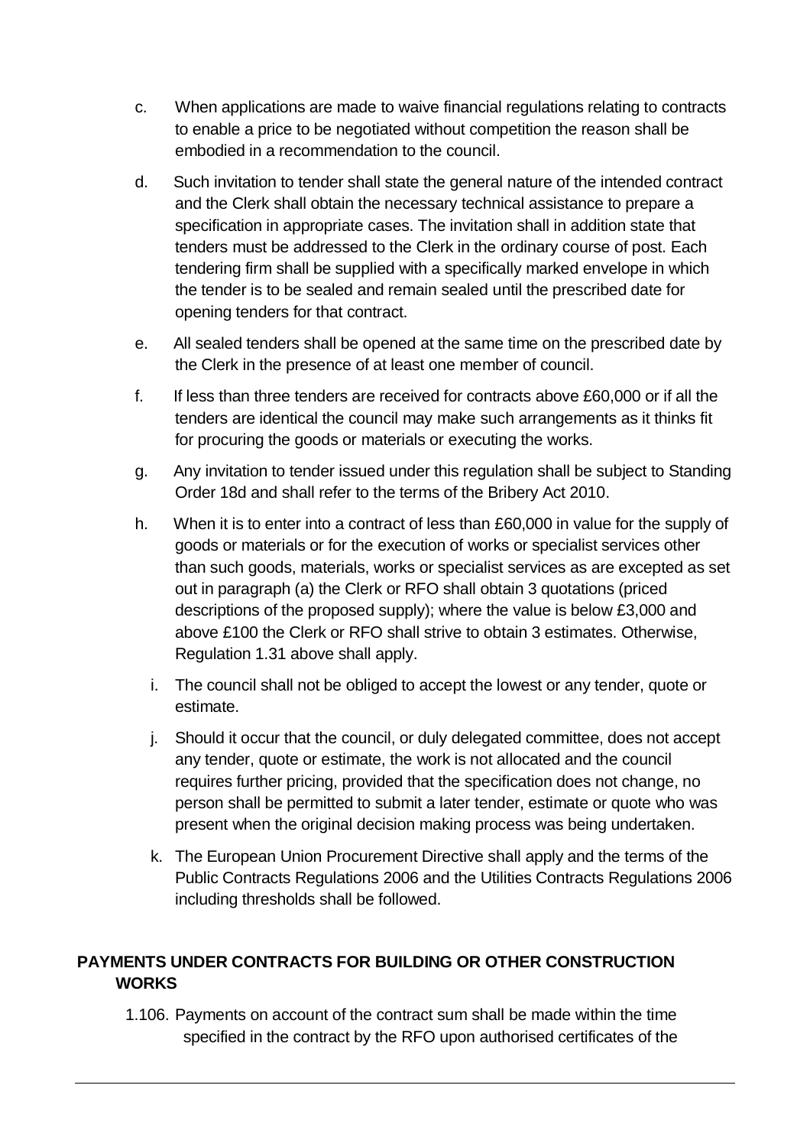- c. When applications are made to waive financial regulations relating to contracts to enable a price to be negotiated without competition the reason shall be embodied in a recommendation to the council.
- d. Such invitation to tender shall state the general nature of the intended contract and the Clerk shall obtain the necessary technical assistance to prepare a specification in appropriate cases. The invitation shall in addition state that tenders must be addressed to the Clerk in the ordinary course of post. Each tendering firm shall be supplied with a specifically marked envelope in which the tender is to be sealed and remain sealed until the prescribed date for opening tenders for that contract.
- e. All sealed tenders shall be opened at the same time on the prescribed date by the Clerk in the presence of at least one member of council.
- f. If less than three tenders are received for contracts above £60,000 or if all the tenders are identical the council may make such arrangements as it thinks fit for procuring the goods or materials or executing the works.
- g. Any invitation to tender issued under this regulation shall be subject to Standing Order 18d and shall refer to the terms of the Bribery Act 2010.
- h. When it is to enter into a contract of less than £60,000 in value for the supply of goods or materials or for the execution of works or specialist services other than such goods, materials, works or specialist services as are excepted as set out in paragraph (a) the Clerk or RFO shall obtain 3 quotations (priced descriptions of the proposed supply); where the value is below £3,000 and above £100 the Clerk or RFO shall strive to obtain 3 estimates. Otherwise, Regulation 1.31 above shall apply.
	- i. The council shall not be obliged to accept the lowest or any tender, quote or estimate.
	- j. Should it occur that the council, or duly delegated committee, does not accept any tender, quote or estimate, the work is not allocated and the council requires further pricing, provided that the specification does not change, no person shall be permitted to submit a later tender, estimate or quote who was present when the original decision making process was being undertaken.
	- k. The European Union Procurement Directive shall apply and the terms of the Public Contracts Regulations 2006 and the Utilities Contracts Regulations 2006 including thresholds shall be followed.

## **PAYMENTS UNDER CONTRACTS FOR BUILDING OR OTHER CONSTRUCTION WORKS**

1.106. Payments on account of the contract sum shall be made within the time specified in the contract by the RFO upon authorised certificates of the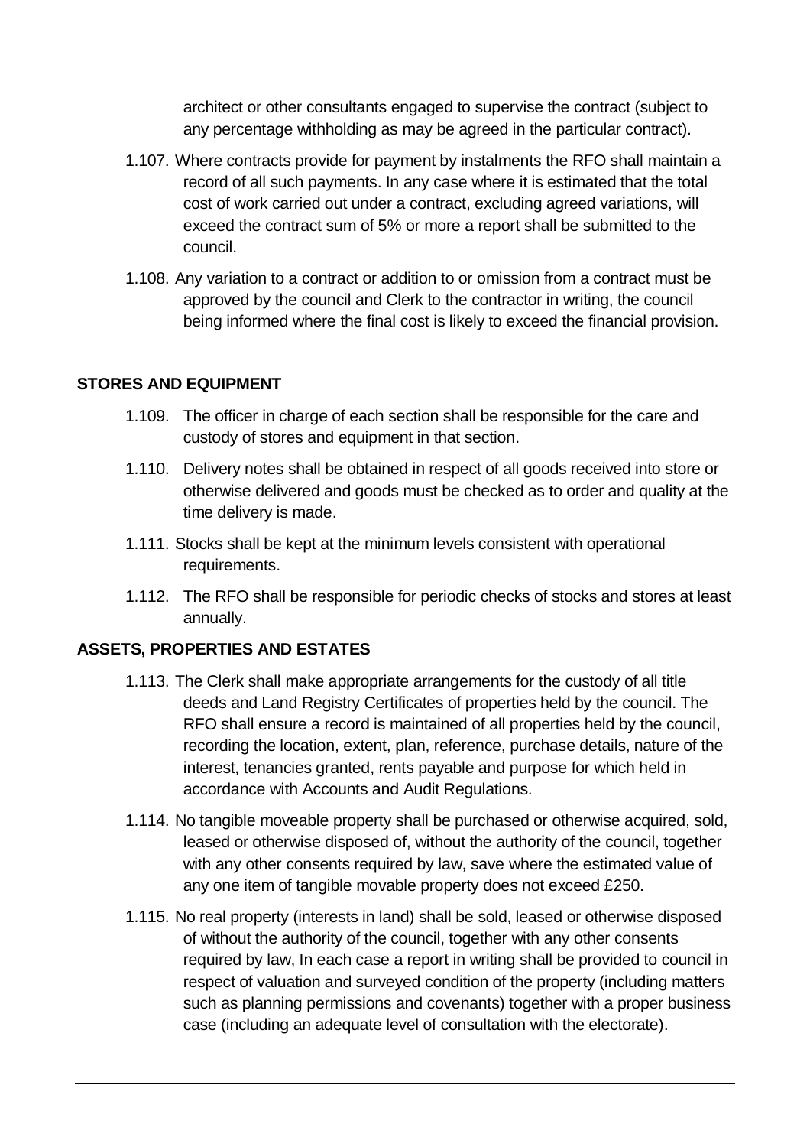architect or other consultants engaged to supervise the contract (subject to any percentage withholding as may be agreed in the particular contract).

- 1.107. Where contracts provide for payment by instalments the RFO shall maintain a record of all such payments. In any case where it is estimated that the total cost of work carried out under a contract, excluding agreed variations, will exceed the contract sum of 5% or more a report shall be submitted to the council.
- 1.108. Any variation to a contract or addition to or omission from a contract must be approved by the council and Clerk to the contractor in writing, the council being informed where the final cost is likely to exceed the financial provision.

### **STORES AND EQUIPMENT**

- 1.109. The officer in charge of each section shall be responsible for the care and custody of stores and equipment in that section.
- 1.110. Delivery notes shall be obtained in respect of all goods received into store or otherwise delivered and goods must be checked as to order and quality at the time delivery is made.
- 1.111. Stocks shall be kept at the minimum levels consistent with operational requirements.
- 1.112. The RFO shall be responsible for periodic checks of stocks and stores at least annually.

### **ASSETS, PROPERTIES AND ESTATES**

- 1.113. The Clerk shall make appropriate arrangements for the custody of all title deeds and Land Registry Certificates of properties held by the council. The RFO shall ensure a record is maintained of all properties held by the council, recording the location, extent, plan, reference, purchase details, nature of the interest, tenancies granted, rents payable and purpose for which held in accordance with Accounts and Audit Regulations.
- 1.114. No tangible moveable property shall be purchased or otherwise acquired, sold, leased or otherwise disposed of, without the authority of the council, together with any other consents required by law, save where the estimated value of any one item of tangible movable property does not exceed £250.
- 1.115. No real property (interests in land) shall be sold, leased or otherwise disposed of without the authority of the council, together with any other consents required by law, In each case a report in writing shall be provided to council in respect of valuation and surveyed condition of the property (including matters such as planning permissions and covenants) together with a proper business case (including an adequate level of consultation with the electorate).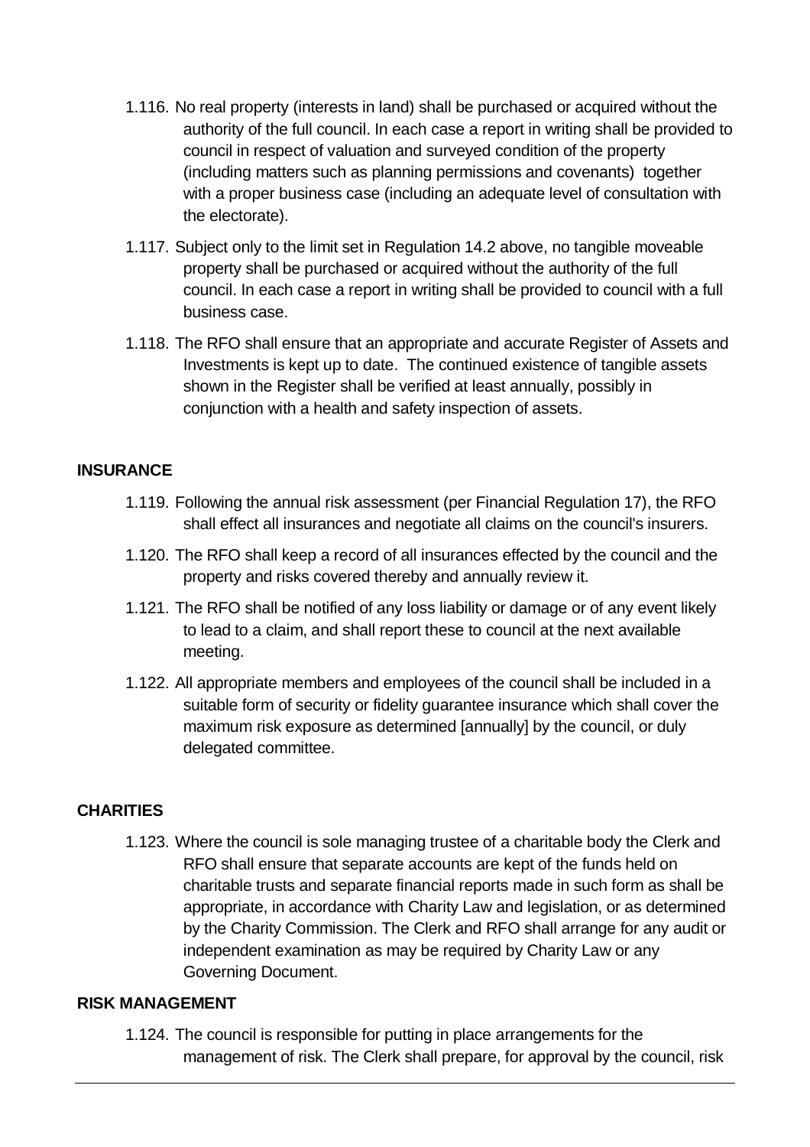- 1.116. No real property (interests in land) shall be purchased or acquired without the authority of the full council. In each case a report in writing shall be provided to council in respect of valuation and surveyed condition of the property (including matters such as planning permissions and covenants) together with a proper business case (including an adequate level of consultation with the electorate).
- 1.117. Subject only to the limit set in Regulation 14.2 above, no tangible moveable property shall be purchased or acquired without the authority of the full council. In each case a report in writing shall be provided to council with a full business case.
- 1.118. The RFO shall ensure that an appropriate and accurate Register of Assets and Investments is kept up to date. The continued existence of tangible assets shown in the Register shall be verified at least annually, possibly in conjunction with a health and safety inspection of assets.

### **INSURANCE**

- 1.119. Following the annual risk assessment (per Financial Regulation 17), the RFO shall effect all insurances and negotiate all claims on the council's insurers.
- 1.120. The RFO shall keep a record of all insurances effected by the council and the property and risks covered thereby and annually review it.
- 1.121. The RFO shall be notified of any loss liability or damage or of any event likely to lead to a claim, and shall report these to council at the next available meeting.
- 1.122. All appropriate members and employees of the council shall be included in a suitable form of security or fidelity guarantee insurance which shall cover the maximum risk exposure as determined [annually] by the council, or duly delegated committee.

### **CHARITIES**

1.123. Where the council is sole managing trustee of a charitable body the Clerk and RFO shall ensure that separate accounts are kept of the funds held on charitable trusts and separate financial reports made in such form as shall be appropriate, in accordance with Charity Law and legislation, or as determined by the Charity Commission. The Clerk and RFO shall arrange for any audit or independent examination as may be required by Charity Law or any Governing Document.

#### **RISK MANAGEMENT**

1.124. The council is responsible for putting in place arrangements for the management of risk. The Clerk shall prepare, for approval by the council, risk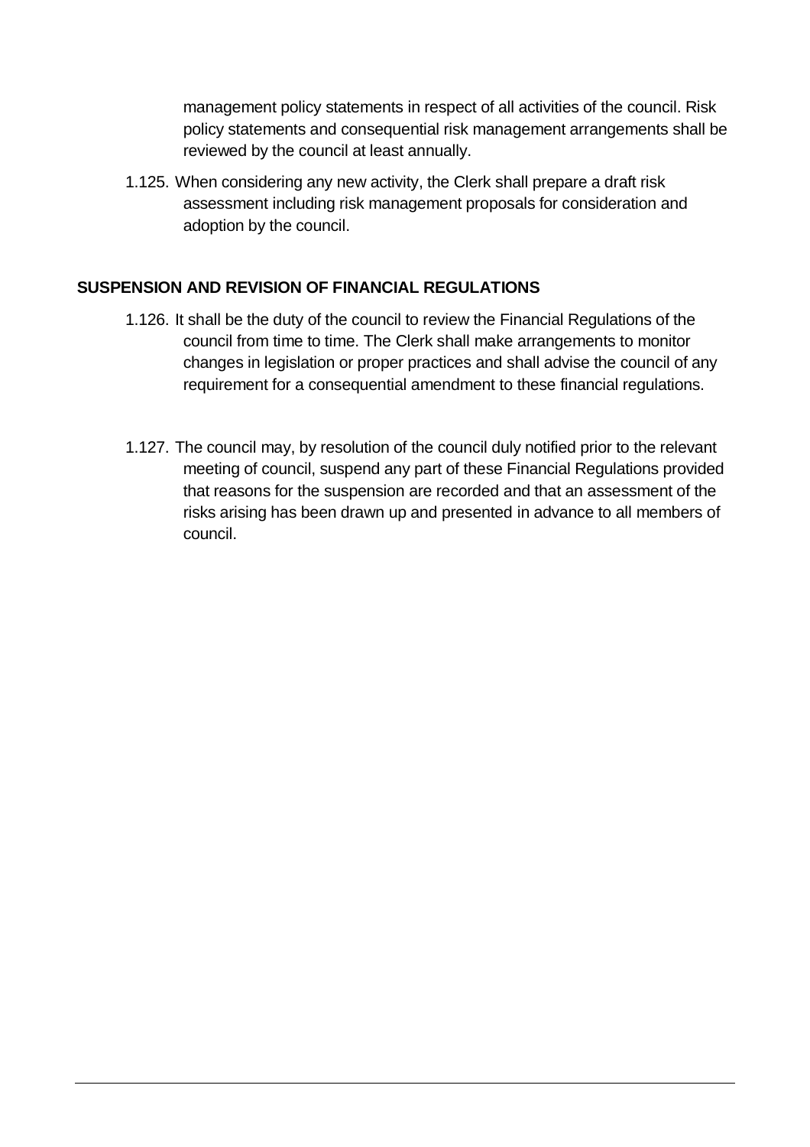management policy statements in respect of all activities of the council. Risk policy statements and consequential risk management arrangements shall be reviewed by the council at least annually.

1.125. When considering any new activity, the Clerk shall prepare a draft risk assessment including risk management proposals for consideration and adoption by the council.

#### **SUSPENSION AND REVISION OF FINANCIAL REGULATIONS**

- 1.126. It shall be the duty of the council to review the Financial Regulations of the council from time to time. The Clerk shall make arrangements to monitor changes in legislation or proper practices and shall advise the council of any requirement for a consequential amendment to these financial regulations.
- 1.127. The council may, by resolution of the council duly notified prior to the relevant meeting of council, suspend any part of these Financial Regulations provided that reasons for the suspension are recorded and that an assessment of the risks arising has been drawn up and presented in advance to all members of council.